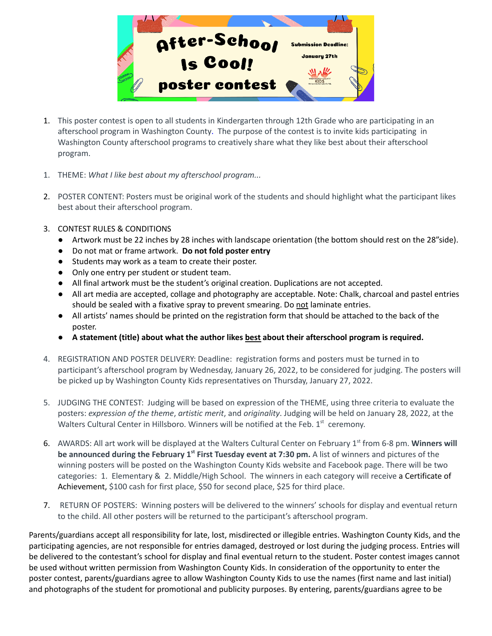

- 1. This poster contest is open to all students in Kindergarten through 12th Grade who are participating in an afterschool program in Washington County. The purpose of the contest is to invite kids participating in Washington County afterschool programs to creatively share what they like best about their afterschool program.
- 1. THEME: *What I like best about my afterschool program...*
- 2. POSTER CONTENT: Posters must be original work of the students and should highlight what the participant likes best about their afterschool program.
- 3. CONTEST RULES & CONDITIONS
	- Artwork must be 22 inches by 28 inches with landscape orientation (the bottom should rest on the 28"side).
	- Do not mat or frame artwork. **Do not fold poster entry**
	- Students may work as a team to create their poster.
	- Only one entry per student or student team.
	- All final artwork must be the student's original creation. Duplications are not accepted.
	- All art media are accepted, collage and photography are acceptable. Note: Chalk, charcoal and pastel entries should be sealed with a fixative spray to prevent smearing. Do not laminate entries.
	- All artists' names should be printed on the registration form that should be attached to the back of the poster.
	- **● A statement (title) about what the author likes best about their afterschool program is required.**
- 4. REGISTRATION AND POSTER DELIVERY: Deadline: registration forms and posters must be turned in to participant's afterschool program by Wednesday, January 26, 2022, to be considered for judging. The posters will be picked up by Washington County Kids representatives on Thursday, January 27, 2022.
- 5. JUDGING THE CONTEST: Judging will be based on expression of the THEME, using three criteria to evaluate the posters: *expression of the theme*, *artistic merit*, and *originality*. Judging will be held on January 28, 2022, at the Walters Cultural Center in Hillsboro. Winners will be notified at the Feb.  $1<sup>st</sup>$  ceremony.
- 6. AWARDS: All art work will be displayed at the Walters Cultural Center on February 1<sup>st</sup> from 6-8 pm. Winners will **be announced during the February 1 st First Tuesday event at 7:30 pm.** A list of winners and pictures of the winning posters will be posted on the Washington County Kids website and Facebook page. There will be two categories: 1. Elementary & 2. Middle/High School. The winners in each category will receive a Certificate of Achievement, \$100 cash for first place, \$50 for second place, \$25 for third place.
- 7. RETURN OF POSTERS: Winning posters will be delivered to the winners' schools for display and eventual return to the child. All other posters will be returned to the participant's afterschool program.

Parents/guardians accept all responsibility for late, lost, misdirected or illegible entries. Washington County Kids, and the participating agencies, are not responsible for entries damaged, destroyed or lost during the judging process. Entries will be delivered to the contestant's school for display and final eventual return to the student. Poster contest images cannot be used without written permission from Washington County Kids. In consideration of the opportunity to enter the poster contest, parents/guardians agree to allow Washington County Kids to use the names (first name and last initial) and photographs of the student for promotional and publicity purposes. By entering, parents/guardians agree to be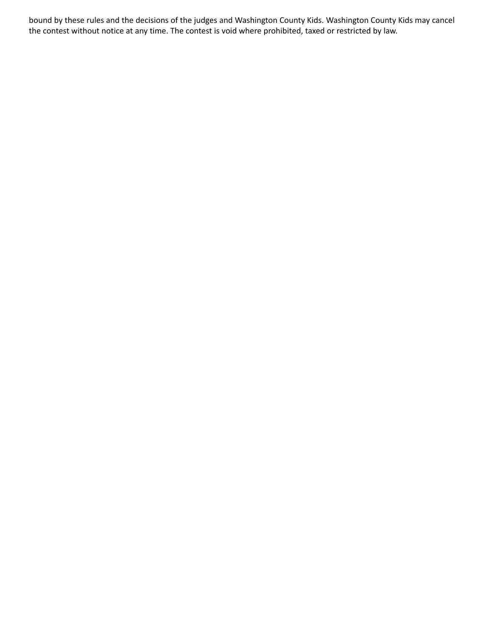bound by these rules and the decisions of the judges and Washington County Kids. Washington County Kids may cancel the contest without notice at any time. The contest is void where prohibited, taxed or restricted by law.